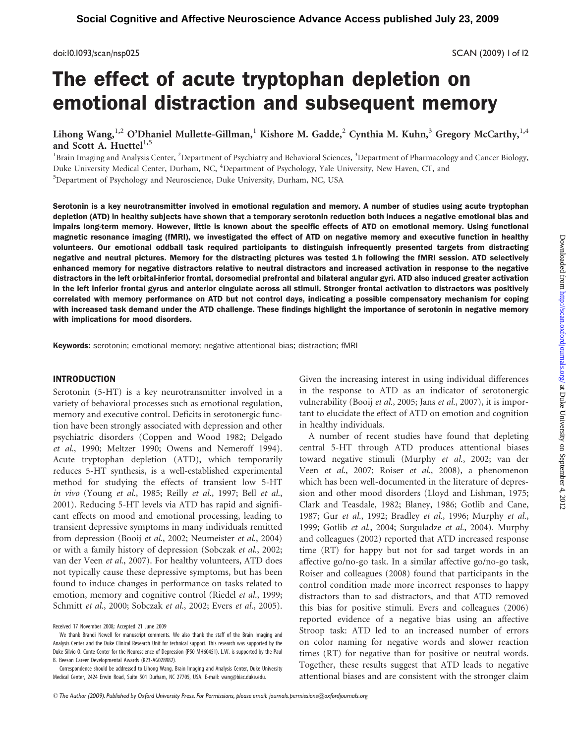doi:10.1093/scan/nsp025 SCAN (2009) 1 of 12

# The effect of acute tryptophan depletion on emotional distraction and subsequent memory

Lihong Wang,<sup>1,2</sup> O'Dhaniel Mullette-Gillman,<sup>1</sup> Kishore M. Gadde,<sup>2</sup> Cynthia M. Kuhn,<sup>3</sup> Gregory McCarthy,<sup>1,4</sup> and Scott A. Huettel $^{1,5}$ 

<sup>1</sup>Brain Imaging and Analysis Center, <sup>2</sup>Department of Psychiatry and Behavioral Sciences, <sup>3</sup>Department of Pharmacology and Cancer Biology, Duke University Medical Center, Durham, NC, <sup>4</sup>Department of Psychology, Yale University, New Haven, CT, and 5 Department of Psychology and Neuroscience, Duke University, Durham, NC, USA

Serotonin is a key neurotransmitter involved in emotional regulation and memory. A number of studies using acute tryptophan depletion (ATD) in healthy subjects have shown that a temporary serotonin reduction both induces a negative emotional bias and impairs long-term memory. However, little is known about the specific effects of ATD on emotional memory. Using functional magnetic resonance imaging (fMRI), we investigated the effect of ATD on negative memory and executive function in healthy volunteers. Our emotional oddball task required participants to distinguish infrequently presented targets from distracting negative and neutral pictures. Memory for the distracting pictures was tested 1 h following the fMRI session. ATD selectively enhanced memory for negative distractors relative to neutral distractors and increased activation in response to the negative distractors in the left orbital-inferior frontal, dorsomedial prefrontal and bilateral angular gyri. ATD also induced greater activation in the left inferior frontal gyrus and anterior cingulate across all stimuli. Stronger frontal activation to distractors was positively correlated with memory performance on ATD but not control days, indicating a possible compensatory mechanism for coping with increased task demand under the ATD challenge. These findings highlight the importance of serotonin in negative memory with implications for mood disorders.

Keywords: serotonin; emotional memory; negative attentional bias; distraction; fMRI

#### INTRODUCTION

Serotonin (5-HT) is a key neurotransmitter involved in a variety of behavioral processes such as emotional regulation, memory and executive control. Deficits in serotonergic function have been strongly associated with depression and other psychiatric disorders (Coppen and Wood 1982; Delgado et al., 1990; Meltzer 1990; Owens and Nemeroff 1994). Acute tryptophan depletion (ATD), which temporarily reduces 5-HT synthesis, is a well-established experimental method for studying the effects of transient low 5-HT in vivo (Young et al., 1985; Reilly et al., 1997; Bell et al., 2001). Reducing 5-HT levels via ATD has rapid and significant effects on mood and emotional processing, leading to transient depressive symptoms in many individuals remitted from depression (Booij et al., 2002; Neumeister et al., 2004) or with a family history of depression (Sobczak et al., 2002; van der Veen et al., 2007). For healthy volunteers, ATD does not typically cause these depressive symptoms, but has been found to induce changes in performance on tasks related to emotion, memory and cognitive control (Riedel et al., 1999; Schmitt et al., 2000; Sobczak et al., 2002; Evers et al., 2005).

Correspondence should be addressed to Lihong Wang, Brain Imaging and Analysis Center, Duke University Medical Center, 2424 Erwin Road, Suite 501 Durham, NC 27705, USA. E-mail: wang@biac.duke.edu.

Given the increasing interest in using individual differences in the response to ATD as an indicator of serotonergic vulnerability (Booij et al., 2005; Jans et al., 2007), it is important to elucidate the effect of ATD on emotion and cognition in healthy individuals.

A number of recent studies have found that depleting central 5-HT through ATD produces attentional biases toward negative stimuli (Murphy et al., 2002; van der Veen et al., 2007; Roiser et al., 2008), a phenomenon which has been well-documented in the literature of depression and other mood disorders (Lloyd and Lishman, 1975; Clark and Teasdale, 1982; Blaney, 1986; Gotlib and Cane, 1987; Gur et al., 1992; Bradley et al., 1996; Murphy et al., 1999; Gotlib et al., 2004; Surguladze et al., 2004). Murphy and colleagues (2002) reported that ATD increased response time (RT) for happy but not for sad target words in an affective go/no-go task. In a similar affective go/no-go task, Roiser and colleagues (2008) found that participants in the control condition made more incorrect responses to happy distractors than to sad distractors, and that ATD removed this bias for positive stimuli. Evers and colleagues (2006) reported evidence of a negative bias using an affective Stroop task: ATD led to an increased number of errors on color naming for negative words and slower reaction times (RT) for negative than for positive or neutral words. Together, these results suggest that ATD leads to negative attentional biases and are consistent with the stronger claim

Received 17 November 2008; Accepted 21 June 2009

We thank Brandi Newell for manuscript comments. We also thank the staff of the Brain Imaging and Analysis Center and the Duke Clinical Research Unit for technical support. This research was supported by the Duke Silvio O. Conte Center for the Neuroscience of Depression (P50-MH60451). L.W. is supported by the Paul B. Beeson Career Developmental Awards (K23-AG028982).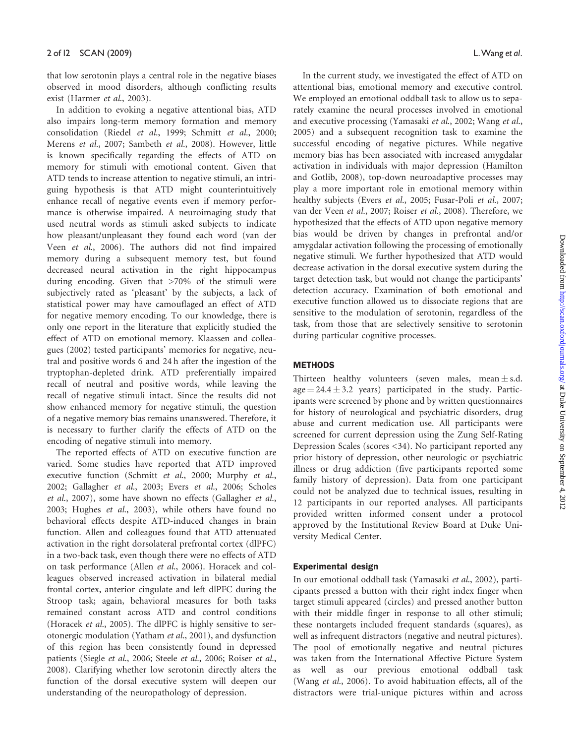that low serotonin plays a central role in the negative biases observed in mood disorders, although conflicting results exist (Harmer et al., 2003).

In addition to evoking a negative attentional bias, ATD also impairs long-term memory formation and memory consolidation (Riedel et al., 1999; Schmitt et al., 2000; Merens et al., 2007; Sambeth et al., 2008). However, little is known specifically regarding the effects of ATD on memory for stimuli with emotional content. Given that ATD tends to increase attention to negative stimuli, an intriguing hypothesis is that ATD might counterintuitively enhance recall of negative events even if memory performance is otherwise impaired. A neuroimaging study that used neutral words as stimuli asked subjects to indicate how pleasant/unpleasant they found each word (van der Veen et al., 2006). The authors did not find impaired memory during a subsequent memory test, but found decreased neural activation in the right hippocampus during encoding. Given that >70% of the stimuli were subjectively rated as 'pleasant' by the subjects, a lack of statistical power may have camouflaged an effect of ATD for negative memory encoding. To our knowledge, there is only one report in the literature that explicitly studied the effect of ATD on emotional memory. Klaassen and colleagues (2002) tested participants' memories for negative, neutral and positive words 6 and 24 h after the ingestion of the tryptophan-depleted drink. ATD preferentially impaired recall of neutral and positive words, while leaving the recall of negative stimuli intact. Since the results did not show enhanced memory for negative stimuli, the question of a negative memory bias remains unanswered. Therefore, it is necessary to further clarify the effects of ATD on the encoding of negative stimuli into memory.

The reported effects of ATD on executive function are varied. Some studies have reported that ATD improved executive function (Schmitt et al., 2000; Murphy et al., 2002; Gallagher et al., 2003; Evers et al., 2006; Scholes et al., 2007), some have shown no effects (Gallagher et al., 2003; Hughes et al., 2003), while others have found no behavioral effects despite ATD-induced changes in brain function. Allen and colleagues found that ATD attenuated activation in the right dorsolateral prefrontal cortex (dlPFC) in a two-back task, even though there were no effects of ATD on task performance (Allen et al., 2006). Horacek and colleagues observed increased activation in bilateral medial frontal cortex, anterior cingulate and left dlPFC during the Stroop task; again, behavioral measures for both tasks remained constant across ATD and control conditions (Horacek et al., 2005). The dlPFC is highly sensitive to serotonergic modulation (Yatham et al., 2001), and dysfunction of this region has been consistently found in depressed patients (Siegle et al., 2006; Steele et al., 2006; Roiser et al., 2008). Clarifying whether low serotonin directly alters the function of the dorsal executive system will deepen our understanding of the neuropathology of depression.

In the current study, we investigated the effect of ATD on attentional bias, emotional memory and executive control. We employed an emotional oddball task to allow us to separately examine the neural processes involved in emotional and executive processing (Yamasaki et al., 2002; Wang et al., 2005) and a subsequent recognition task to examine the successful encoding of negative pictures. While negative memory bias has been associated with increased amygdalar activation in individuals with major depression (Hamilton and Gotlib, 2008), top-down neuroadaptive processes may play a more important role in emotional memory within healthy subjects (Evers et al., 2005; Fusar-Poli et al., 2007; van der Veen et al., 2007; Roiser et al., 2008). Therefore, we hypothesized that the effects of ATD upon negative memory bias would be driven by changes in prefrontal and/or amygdalar activation following the processing of emotionally negative stimuli. We further hypothesized that ATD would decrease activation in the dorsal executive system during the target detection task, but would not change the participants' detection accuracy. Examination of both emotional and executive function allowed us to dissociate regions that are sensitive to the modulation of serotonin, regardless of the task, from those that are selectively sensitive to serotonin during particular cognitive processes.

## **METHODS**

Thirteen healthy volunteers (seven males, mean  $\pm$  s.d.  $age = 24.4 \pm 3.2$  years) participated in the study. Participants were screened by phone and by written questionnaires for history of neurological and psychiatric disorders, drug abuse and current medication use. All participants were screened for current depression using the Zung Self-Rating Depression Scales (scores <34). No participant reported any prior history of depression, other neurologic or psychiatric illness or drug addiction (five participants reported some family history of depression). Data from one participant could not be analyzed due to technical issues, resulting in 12 participants in our reported analyses. All participants provided written informed consent under a protocol approved by the Institutional Review Board at Duke University Medical Center.

# Experimental design

In our emotional oddball task (Yamasaki et al., 2002), participants pressed a button with their right index finger when target stimuli appeared (circles) and pressed another button with their middle finger in response to all other stimuli; these nontargets included frequent standards (squares), as well as infrequent distractors (negative and neutral pictures). The pool of emotionally negative and neutral pictures was taken from the International Affective Picture System as well as our previous emotional oddball task (Wang et al., 2006). To avoid habituation effects, all of the distractors were trial-unique pictures within and across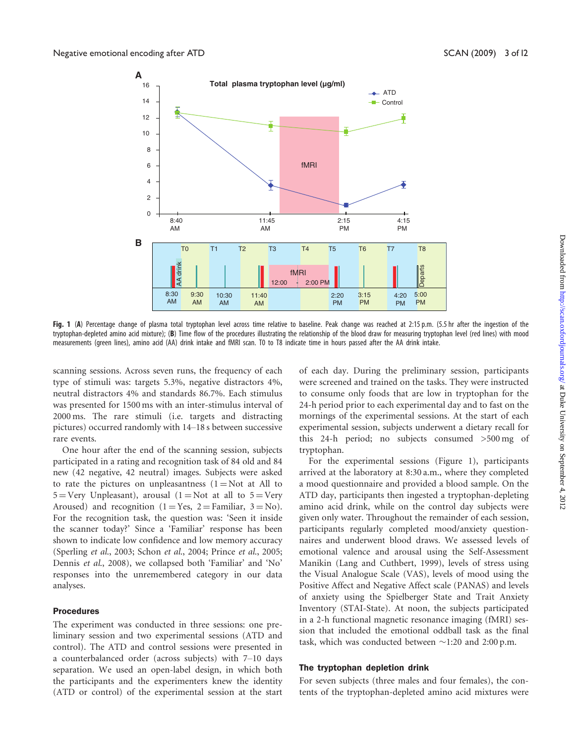

Fig. 1 (A) Percentage change of plasma total tryptophan level across time relative to baseline. Peak change was reached at 2:15 p.m. (5.5 hr after the ingestion of the tryptophan-depleted amino acid mixture); (B) Time flow of the procedures illustrating the relationship of the blood draw for measuring tryptophan level (red lines) with mood measurements (green lines), amino acid (AA) drink intake and fMRI scan. T0 to T8 indicate time in hours passed after the AA drink intake.

scanning sessions. Across seven runs, the frequency of each type of stimuli was: targets 5.3%, negative distractors 4%, neutral distractors 4% and standards 86.7%. Each stimulus was presented for 1500 ms with an inter-stimulus interval of 2000 ms. The rare stimuli (i.e. targets and distracting pictures) occurred randomly with 14–18 s between successive rare events.

One hour after the end of the scanning session, subjects participated in a rating and recognition task of 84 old and 84 new (42 negative, 42 neutral) images. Subjects were asked to rate the pictures on unpleasantness  $(1 = Not at All to$  $5 = \text{Very Unpleasant}$ , arousal  $(1 = \text{Not at all to } 5 = \text{Very}$ Aroused) and recognition (1 = Yes, 2 = Familiar, 3 = No). For the recognition task, the question was: 'Seen it inside the scanner today?' Since a 'Familiar' response has been shown to indicate low confidence and low memory accuracy (Sperling et al., 2003; Schon et al., 2004; Prince et al., 2005; Dennis et al., 2008), we collapsed both 'Familiar' and 'No' responses into the unremembered category in our data analyses.

#### Procedures

The experiment was conducted in three sessions: one preliminary session and two experimental sessions (ATD and control). The ATD and control sessions were presented in a counterbalanced order (across subjects) with 7–10 days separation. We used an open-label design, in which both the participants and the experimenters knew the identity (ATD or control) of the experimental session at the start

of each day. During the preliminary session, participants were screened and trained on the tasks. They were instructed to consume only foods that are low in tryptophan for the 24-h period prior to each experimental day and to fast on the mornings of the experimental sessions. At the start of each experimental session, subjects underwent a dietary recall for this 24-h period; no subjects consumed >500 mg of tryptophan.

For the experimental sessions (Figure 1), participants arrived at the laboratory at 8:30 a.m., where they completed a mood questionnaire and provided a blood sample. On the ATD day, participants then ingested a tryptophan-depleting amino acid drink, while on the control day subjects were given only water. Throughout the remainder of each session, participants regularly completed mood/anxiety questionnaires and underwent blood draws. We assessed levels of emotional valence and arousal using the Self-Assessment Manikin (Lang and Cuthbert, 1999), levels of stress using the Visual Analogue Scale (VAS), levels of mood using the Positive Affect and Negative Affect scale (PANAS) and levels of anxiety using the Spielberger State and Trait Anxiety Inventory (STAI-State). At noon, the subjects participated in a 2-h functional magnetic resonance imaging (fMRI) session that included the emotional oddball task as the final task, which was conducted between  $\sim$ 1:20 and 2:00 p.m.

#### The tryptophan depletion drink

For seven subjects (three males and four females), the contents of the tryptophan-depleted amino acid mixtures were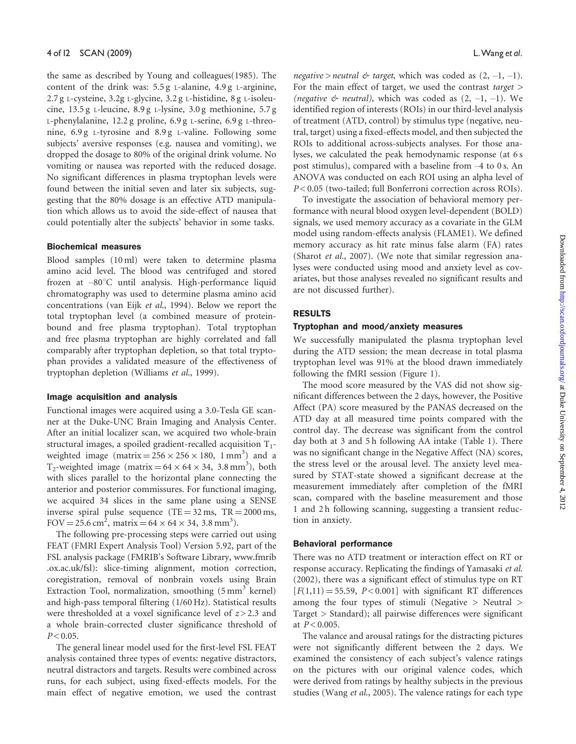the same as described by Young and colleagues(1985). The content of the drink was: 5.5 g L-alanine, 4.9 g L-arginine, 2.7 g L-cysteine, 3.2g L-glycine, 3.2 g L-histidine, 8 g L-isoleucine, 13.5 g L-leucine, 8.9 g L-lysine, 3.0 g methionine, 5.7 g L-phenylalanine, 12.2 g proline, 6.9 g L-serine, 6.9 g L-threonine, 6.9 g L-tyrosine and 8.9 g L-valine. Following some subjects' aversive responses (e.g. nausea and vomiting), we dropped the dosage to 80% of the original drink volume. No vomiting or nausea was reported with the reduced dosage. No significant differences in plasma tryptophan levels were found between the initial seven and later six subjects, suggesting that the 80% dosage is an effective ATD manipulation which allows us to avoid the side-effect of nausea that could potentially alter the subjects' behavior in some tasks.

# Biochemical measures

Blood samples (10 ml) were taken to determine plasma amino acid level. The blood was centrifuged and stored frozen at -80°C until analysis. High-performance liquid chromatography was used to determine plasma amino acid concentrations (van Eijk et al., 1994). Below we report the total tryptophan level (a combined measure of proteinbound and free plasma tryptophan). Total tryptophan and free plasma tryptophan are highly correlated and fall comparably after tryptophan depletion, so that total tryptophan provides a validated measure of the effectiveness of tryptophan depletion (Williams et al., 1999).

#### Image acquisition and analysis

Functional images were acquired using a 3.0-Tesla GE scanner at the Duke-UNC Brain Imaging and Analysis Center. After an initial localizer scan, we acquired two whole-brain structural images, a spoiled gradient-recalled acquisition  $T_1$ weighted image (matrix =  $256 \times 256 \times 180$ , 1 mm<sup>3</sup>) and a T<sub>2</sub>-weighted image (matrix =  $64 \times 64 \times 34$ , 3.8 mm<sup>3</sup>), both with slices parallel to the horizontal plane connecting the anterior and posterior commissures. For functional imaging, we acquired 34 slices in the same plane using a SENSE inverse spiral pulse sequence  $(TE = 32 \text{ ms}, TR = 2000 \text{ ms},$ FOV = 25.6 cm<sup>2</sup>, matrix = 64  $\times$  64  $\times$  34, 3.8 mm<sup>3</sup>).

The following pre-processing steps were carried out using FEAT (FMRI Expert Analysis Tool) Version 5.92, part of the FSL analysis package (FMRIB's Software Library, www.fmrib .ox.ac.uk/fsl): slice-timing alignment, motion correction, coregistration, removal of nonbrain voxels using Brain Extraction Tool, normalization, smoothing  $(5 \text{ mm}^3 \text{ kernel})$ and high-pass temporal filtering (1/60 Hz). Statistical results were thresholded at a voxel significance level of  $z > 2.3$  and a whole brain-corrected cluster significance threshold of  $P < 0.05$ .

The general linear model used for the first-level FSL FEAT analysis contained three types of events: negative distractors, neutral distractors and targets. Results were combined across runs, for each subject, using fixed-effects models. For the main effect of negative emotion, we used the contrast

negative > neutral  $\phi$  target, which was coded as  $(2, -1, -1)$ . For the main effect of target, we used the contrast target  $>$ (negative  $\phi$  neutral), which was coded as  $(2, -1, -1)$ . We identified region of interests (ROIs) in our third-level analysis of treatment (ATD, control) by stimulus type (negative, neutral, target) using a fixed-effects model, and then subjected the ROIs to additional across-subjects analyses. For those analyses, we calculated the peak hemodynamic response (at 6 s post stimulus), compared with a baseline from –4 to 0 s. An ANOVA was conducted on each ROI using an alpha level of P < 0.05 (two-tailed; full Bonferroni correction across ROIs).

To investigate the association of behavioral memory performance with neural blood oxygen level-dependent (BOLD) signals, we used memory accuracy as a covariate in the GLM model using random-effects analysis (FLAME1). We defined memory accuracy as hit rate minus false alarm (FA) rates (Sharot et al., 2007). (We note that similar regression analyses were conducted using mood and anxiety level as covariates, but those analyses revealed no significant results and are not discussed further).

### RESULTS

### Tryptophan and mood/anxiety measures

We successfully manipulated the plasma tryptophan level during the ATD session; the mean decrease in total plasma tryptophan level was 91% at the blood drawn immediately following the fMRI session (Figure 1).

The mood score measured by the VAS did not show significant differences between the 2 days, however, the Positive Affect (PA) score measured by the PANAS decreased on the ATD day at all measured time points compared with the control day. The decrease was significant from the control day both at 3 and 5 h following AA intake (Table 1). There was no significant change in the Negative Affect (NA) scores, the stress level or the arousal level. The anxiety level measured by STAT-state showed a significant decrease at the measurement immediately after completion of the fMRI scan, compared with the baseline measurement and those 1 and 2 h following scanning, suggesting a transient reduction in anxiety.

### Behavioral performance

There was no ATD treatment or interaction effect on RT or response accuracy. Replicating the findings of Yamasaki et al. (2002), there was a significant effect of stimulus type on RT  $[F(1,11) = 55.59, P < 0.001]$  with significant RT differences among the four types of stimuli (Negative  $>$  Neutral  $>$ Target > Standard); all pairwise differences were significant at  $P < 0.005$ .

The valance and arousal ratings for the distracting pictures were not significantly different between the 2 days. We examined the consistency of each subject's valence ratings on the pictures with our original valence codes, which were derived from ratings by healthy subjects in the previous studies (Wang et al., 2005). The valence ratings for each type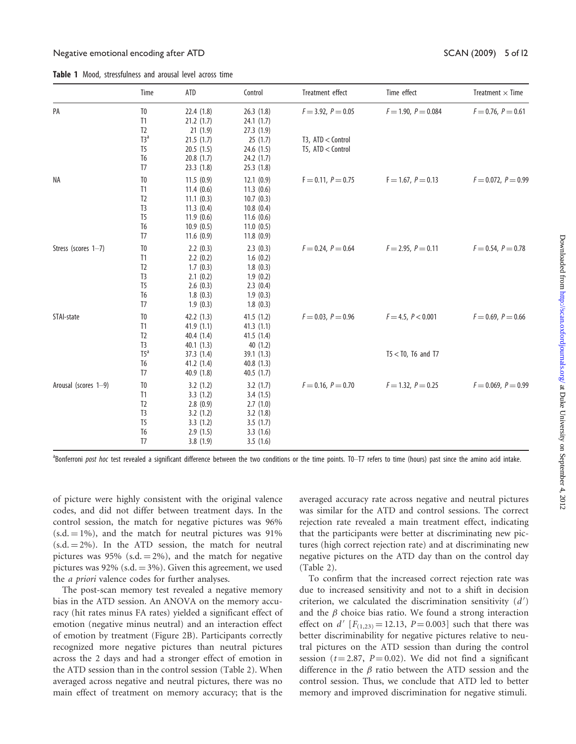Table 1 Mood, stressfulness and arousal level across time

|                      | Time                 | ATD                    | Control                | Treatment effect     | Time effect           | Treatment $\times$ Time  |
|----------------------|----------------------|------------------------|------------------------|----------------------|-----------------------|--------------------------|
| PA                   | T <sub>0</sub><br>T1 | 22.4(1.8)<br>21.2(1.7) | 26.3(1.8)<br>24.1(1.7) | $F = 3.92, P = 0.05$ | $F = 1.90, P = 0.084$ | $F = 0.76, P = 0.61$     |
|                      | T <sub>2</sub>       | 21(1.9)                | 27.3 (1.9)             |                      |                       |                          |
|                      | T3 <sup>a</sup>      | 21.5(1.7)              | 25(1.7)                | T3, ATD < Control    |                       |                          |
|                      | T5                   | 20.5(1.5)              | 24.6 (1.5)             | T5, ATD < Control    |                       |                          |
|                      | T6                   | 20.8(1.7)              | 24.2(1.7)              |                      |                       |                          |
|                      | T7                   | 23.3(1.8)              | 25.3(1.8)              |                      |                       |                          |
| ΝA                   | T <sub>0</sub>       | 11.5(0.9)              | 12.1(0.9)              | $F = 0.11, P = 0.75$ | $F = 1.67, P = 0.13$  | $F = 0.072$ , $P = 0.99$ |
|                      | T1                   | 11.4(0.6)              | 11.3(0.6)              |                      |                       |                          |
|                      | T <sub>2</sub>       | 11.1(0.3)              | 10.7(0.3)              |                      |                       |                          |
|                      | T <sub>3</sub>       | 11.3(0.4)              | 10.8(0.4)              |                      |                       |                          |
|                      | T <sub>5</sub>       | 11.9(0.6)              | 11.6(0.6)              |                      |                       |                          |
|                      | T6                   | 10.9(0.5)              | 11.0(0.5)              |                      |                       |                          |
|                      | T <sub>7</sub>       | 11.6(0.9)              | 11.8(0.9)              |                      |                       |                          |
| Stress (scores 1-7)  | T <sub>0</sub>       | 2.2(0.3)               | 2.3(0.3)               | $F = 0.24, P = 0.64$ | $F = 2.95, P = 0.11$  | $F = 0.54, P = 0.78$     |
|                      | T1                   | 2.2(0.2)               | 1.6(0.2)               |                      |                       |                          |
|                      | T <sub>2</sub>       | 1.7(0.3)               | 1.8(0.3)               |                      |                       |                          |
|                      | T <sub>3</sub>       | 2.1(0.2)               | 1.9(0.2)               |                      |                       |                          |
|                      | T <sub>5</sub>       | 2.6(0.3)               | 2.3(0.4)               |                      |                       |                          |
|                      | T6                   | 1.8(0.3)               | 1.9(0.3)               |                      |                       |                          |
|                      | T <sub>7</sub>       | 1.9(0.3)               | 1.8(0.3)               |                      |                       |                          |
| STAI-state           | T <sub>0</sub>       | 42.2(1.3)              | 41.5(1.2)              | $F = 0.03, P = 0.96$ | $F = 4.5, P < 0.001$  | $F = 0.69, P = 0.66$     |
|                      | T1                   | 41.9(1.1)              | 41.3(1.1)              |                      |                       |                          |
|                      | T <sub>2</sub>       | 40.4(1.4)              | 41.5 (1.4)             |                      |                       |                          |
|                      | T <sub>3</sub>       | 40.1(1.3)              | 40(1.2)                |                      |                       |                          |
|                      | $T5^a$               | 37.3 (1.4)             | 39.1(1.3)              |                      | $T5 <$ TO, T6 and T7  |                          |
|                      | T6                   | 41.2(1.4)              | 40.8(1.3)              |                      |                       |                          |
|                      | T7                   | 40.9 (1.8)             | 40.5(1.7)              |                      |                       |                          |
| Arousal (scores 1-9) | T <sub>0</sub>       | 3.2(1.2)               | 3.2(1.7)               | $F = 0.16, P = 0.70$ | $F = 1.32, P = 0.25$  | $F = 0.069, P = 0.99$    |
|                      | T1                   | 3.3(1.2)               | 3.4(1.5)               |                      |                       |                          |
|                      | T <sub>2</sub>       | 2.8(0.9)               | 2.7(1.0)               |                      |                       |                          |
|                      | T <sub>3</sub>       | 3.2(1.2)               | 3.2(1.8)               |                      |                       |                          |
|                      | T <sub>5</sub>       | 3.3(1.2)               | 3.5(1.7)               |                      |                       |                          |
|                      | T6                   | 2.9(1.5)               | 3.3(1.6)               |                      |                       |                          |
|                      | T <sub>7</sub>       | 3.8(1.9)               | 3.5(1.6)               |                      |                       |                          |

<sup>a</sup>Bonferroni post hoc test revealed a significant difference between the two conditions or the time points. TO-T7 refers to time (hours) past since the amino acid intake.

of picture were highly consistent with the original valence codes, and did not differ between treatment days. In the control session, the match for negative pictures was 96%  $(s.d. = 1\%)$ , and the match for neutral pictures was 91%  $(s.d. = 2\%)$ . In the ATD session, the match for neutral pictures was 95% (s.d.  $=$  2%), and the match for negative pictures was 92% (s.d.  $=$  3%). Given this agreement, we used the a priori valence codes for further analyses.

The post-scan memory test revealed a negative memory bias in the ATD session. An ANOVA on the memory accuracy (hit rates minus FA rates) yielded a significant effect of emotion (negative minus neutral) and an interaction effect of emotion by treatment (Figure 2B). Participants correctly recognized more negative pictures than neutral pictures across the 2 days and had a stronger effect of emotion in the ATD session than in the control session (Table 2). When averaged across negative and neutral pictures, there was no main effect of treatment on memory accuracy; that is the

averaged accuracy rate across negative and neutral pictures was similar for the ATD and control sessions. The correct rejection rate revealed a main treatment effect, indicating that the participants were better at discriminating new pictures (high correct rejection rate) and at discriminating new negative pictures on the ATD day than on the control day (Table 2).

To confirm that the increased correct rejection rate was due to increased sensitivity and not to a shift in decision criterion, we calculated the discrimination sensitivity  $(d')$ and the  $\beta$  choice bias ratio. We found a strong interaction effect on d'  $[F(1,23) = 12.13, P = 0.003]$  such that there was better discriminability for negative pictures relative to neutral pictures on the ATD session than during the control session ( $t = 2.87$ ,  $P = 0.02$ ). We did not find a significant difference in the  $\beta$  ratio between the ATD session and the control session. Thus, we conclude that ATD led to better memory and improved discrimination for negative stimuli.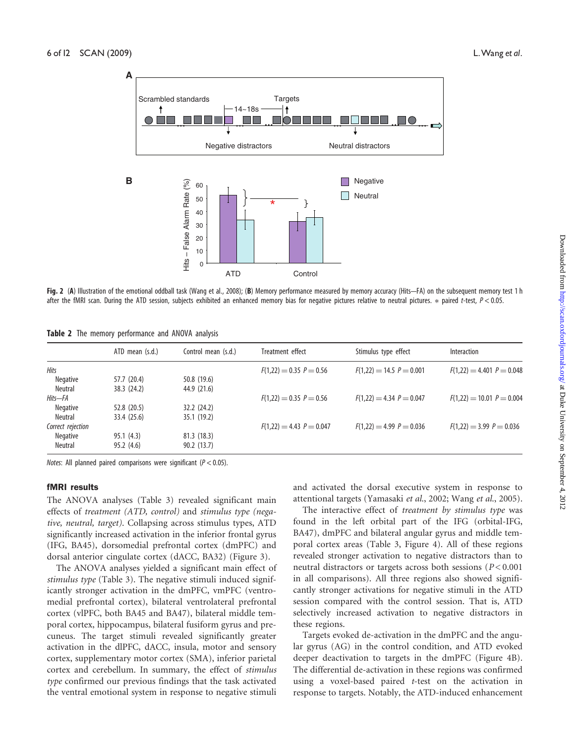

Fig. 2 (A) Illustration of the emotional oddball task (Wang et al., 2008); (B) Memory performance measured by memory accuracy (Hits-FA) on the subsequent memory test 1 h after the fMRI scan. During the ATD session, subjects exhibited an enhanced memory bias for negative pictures relative to neutral pictures.  $*$  paired t-test,  $P < 0.05$ .

|  |  |  | Table 2 The memory performance and ANOVA analysis |  |  |  |
|--|--|--|---------------------------------------------------|--|--|--|
|--|--|--|---------------------------------------------------|--|--|--|

|                   | ATD mean (s.d.) | Control mean (s.d.) | Treatment effect           | Stimulus type effect         | Interaction                 |
|-------------------|-----------------|---------------------|----------------------------|------------------------------|-----------------------------|
| <b>Hits</b>       |                 |                     | $F(1,22) = 0.35 P = 0.56$  | $F(1,22) = 14.5$ $P = 0.001$ | $F(1,22) = 4.401 P = 0.048$ |
| Negative          | 57.7 (20.4)     | 50.8 (19.6)         |                            |                              |                             |
| Neutral           | 38.3 (24.2)     | 44.9 (21.6)         |                            |                              |                             |
| Hits—FA           |                 |                     | $F(1,22) = 0.35 P = 0.56$  | $F(1,22) = 4.34 P = 0.047$   | $F(1,22) = 10.01 P = 0.004$ |
| Negative          | 52.8 (20.5)     | 32.2(24.2)          |                            |                              |                             |
| Neutral           | 33.4 (25.6)     | 35.1(19.2)          |                            |                              |                             |
| Correct rejection |                 |                     | $F(1,22) = 4.43 P = 0.047$ | $F(1,22) = 4.99 P = 0.036$   | $F(1,22) = 3.99 P = 0.036$  |
| Negative          | 95.1(4.3)       | 81.3(18.3)          |                            |                              |                             |
| Neutral           | 95.2(4.6)       | 90.2(13.7)          |                            |                              |                             |

Notes: All planned paired comparisons were significant ( $P < 0.05$ ).

#### fMRI results

The ANOVA analyses (Table 3) revealed significant main effects of treatment (ATD, control) and stimulus type (negative, neutral, target). Collapsing across stimulus types, ATD significantly increased activation in the inferior frontal gyrus (IFG, BA45), dorsomedial prefrontal cortex (dmPFC) and dorsal anterior cingulate cortex (dACC, BA32) (Figure 3).

The ANOVA analyses yielded a significant main effect of stimulus type (Table 3). The negative stimuli induced significantly stronger activation in the dmPFC, vmPFC (ventromedial prefrontal cortex), bilateral ventrolateral prefrontal cortex (vlPFC, both BA45 and BA47), bilateral middle temporal cortex, hippocampus, bilateral fusiform gyrus and precuneus. The target stimuli revealed significantly greater activation in the dlPFC, dACC, insula, motor and sensory cortex, supplementary motor cortex (SMA), inferior parietal cortex and cerebellum. In summary, the effect of stimulus type confirmed our previous findings that the task activated the ventral emotional system in response to negative stimuli

and activated the dorsal executive system in response to attentional targets (Yamasaki et al., 2002; Wang et al., 2005).

The interactive effect of treatment by stimulus type was found in the left orbital part of the IFG (orbital-IFG, BA47), dmPFC and bilateral angular gyrus and middle temporal cortex areas (Table 3, Figure 4). All of these regions revealed stronger activation to negative distractors than to neutral distractors or targets across both sessions ( $P < 0.001$ ) in all comparisons). All three regions also showed significantly stronger activations for negative stimuli in the ATD session compared with the control session. That is, ATD selectively increased activation to negative distractors in these regions.

Targets evoked de-activation in the dmPFC and the angular gyrus (AG) in the control condition, and ATD evoked deeper deactivation to targets in the dmPFC (Figure 4B). The differential de-activation in these regions was confirmed using a voxel-based paired t-test on the activation in response to targets. Notably, the ATD-induced enhancement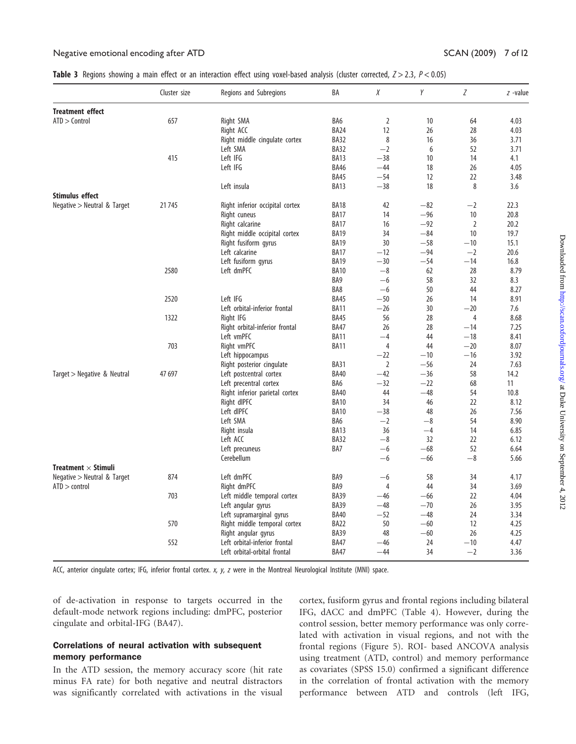| Table 3 Regions showing a main effect or an interaction effect using voxel-based analysis (cluster corrected, $Z > 2.3$ , $P < 0.05$ ) |  |  |
|----------------------------------------------------------------------------------------------------------------------------------------|--|--|
|----------------------------------------------------------------------------------------------------------------------------------------|--|--|

| <b>Treatment effect</b><br>$ATD >$ Control<br>657<br>BA6<br>$\overline{2}$<br>Right SMA<br>10 <sup>°</sup><br>64<br>Right ACC<br><b>BA24</b><br>12<br>26<br>28<br>BA32<br>8<br>Right middle cingulate cortex<br>16<br>36<br>BA32<br>$-2$<br>Left SMA<br>6<br>52<br>415<br>Left IFG<br>BA13<br>$-38$<br>10<br>14<br>Left IFG<br><b>BA46</b><br>$-44$<br>18<br>26<br><b>BA45</b><br>$-54$<br>22<br>12<br>BA13<br>$-38$<br>18<br>8<br>Left insula<br><b>Stimulus effect</b><br>Negative > Neutral & Target<br>21745<br>Right inferior occipital cortex<br><b>BA18</b><br>42<br>$-82$<br>$-2$<br>Right cuneus<br><b>BA17</b><br>14<br>$-96$<br>10<br>Right calcarine<br><b>BA17</b><br>16<br>$-92$<br>2<br>34<br>$-84$<br>10<br>Right middle occipital cortex<br><b>BA19</b><br>30<br><b>BA19</b><br>$-58$<br>$-10$<br>Right fusiform gyrus<br>$-12$<br>$-94$<br>Left calcarine<br><b>BA17</b><br>$-2$<br>$-30$<br>Left fusiform gyrus<br><b>BA19</b><br>$-54$<br>$-14$<br>2580<br>$-8$<br>Left dmPFC<br><b>BA10</b><br>62<br>28<br>BA9<br>$-6$<br>58<br>32<br>BA8<br>$-6$<br>50<br>44<br>Left IFG<br>$-50$<br>2520<br><b>BA45</b><br>26<br>14<br>Left orbital-inferior frontal<br><b>BA11</b><br>$-26$<br>30<br>$-20$<br>1322<br>Right IFG<br><b>BA45</b><br>56<br>28<br>$\overline{4}$<br>Right orbital-inferior frontal<br><b>BA47</b><br>26<br>28<br>$-14$<br>Left vmPFC<br><b>BA11</b><br>$-4$<br>44<br>$-18$<br>703<br>$\overline{4}$<br>Right vmPFC<br><b>BA11</b><br>44<br>$-20$<br>Left hippocampus<br>$-22$<br>$-10$<br>$-16$<br>Right posterior cingulate<br><b>BA31</b><br>$\overline{2}$<br>$-56$<br>24<br>47 697<br>Left postcentral cortex<br><b>BA40</b><br>$-42$<br>$-36$<br>58<br>Target > Negative & Neutral<br>Left precentral cortex<br>BA6<br>$-32$<br>$-22$<br>68 |  | Regions and Subregions         | BA          | Χ  | Υ     | Ζ  | $z$ -value |
|--------------------------------------------------------------------------------------------------------------------------------------------------------------------------------------------------------------------------------------------------------------------------------------------------------------------------------------------------------------------------------------------------------------------------------------------------------------------------------------------------------------------------------------------------------------------------------------------------------------------------------------------------------------------------------------------------------------------------------------------------------------------------------------------------------------------------------------------------------------------------------------------------------------------------------------------------------------------------------------------------------------------------------------------------------------------------------------------------------------------------------------------------------------------------------------------------------------------------------------------------------------------------------------------------------------------------------------------------------------------------------------------------------------------------------------------------------------------------------------------------------------------------------------------------------------------------------------------------------------------------------------------------------------------------------------------------------------------------------------------------------------------------------------|--|--------------------------------|-------------|----|-------|----|------------|
|                                                                                                                                                                                                                                                                                                                                                                                                                                                                                                                                                                                                                                                                                                                                                                                                                                                                                                                                                                                                                                                                                                                                                                                                                                                                                                                                                                                                                                                                                                                                                                                                                                                                                                                                                                                      |  |                                |             |    |       |    |            |
|                                                                                                                                                                                                                                                                                                                                                                                                                                                                                                                                                                                                                                                                                                                                                                                                                                                                                                                                                                                                                                                                                                                                                                                                                                                                                                                                                                                                                                                                                                                                                                                                                                                                                                                                                                                      |  |                                |             |    |       |    | 4.03       |
|                                                                                                                                                                                                                                                                                                                                                                                                                                                                                                                                                                                                                                                                                                                                                                                                                                                                                                                                                                                                                                                                                                                                                                                                                                                                                                                                                                                                                                                                                                                                                                                                                                                                                                                                                                                      |  |                                |             |    |       |    | 4.03       |
|                                                                                                                                                                                                                                                                                                                                                                                                                                                                                                                                                                                                                                                                                                                                                                                                                                                                                                                                                                                                                                                                                                                                                                                                                                                                                                                                                                                                                                                                                                                                                                                                                                                                                                                                                                                      |  |                                |             |    |       |    | 3.71       |
|                                                                                                                                                                                                                                                                                                                                                                                                                                                                                                                                                                                                                                                                                                                                                                                                                                                                                                                                                                                                                                                                                                                                                                                                                                                                                                                                                                                                                                                                                                                                                                                                                                                                                                                                                                                      |  |                                |             |    |       |    | 3.71       |
|                                                                                                                                                                                                                                                                                                                                                                                                                                                                                                                                                                                                                                                                                                                                                                                                                                                                                                                                                                                                                                                                                                                                                                                                                                                                                                                                                                                                                                                                                                                                                                                                                                                                                                                                                                                      |  |                                |             |    |       |    | 4.1        |
|                                                                                                                                                                                                                                                                                                                                                                                                                                                                                                                                                                                                                                                                                                                                                                                                                                                                                                                                                                                                                                                                                                                                                                                                                                                                                                                                                                                                                                                                                                                                                                                                                                                                                                                                                                                      |  |                                |             |    |       |    | 4.05       |
|                                                                                                                                                                                                                                                                                                                                                                                                                                                                                                                                                                                                                                                                                                                                                                                                                                                                                                                                                                                                                                                                                                                                                                                                                                                                                                                                                                                                                                                                                                                                                                                                                                                                                                                                                                                      |  |                                |             |    |       |    | 3.48       |
|                                                                                                                                                                                                                                                                                                                                                                                                                                                                                                                                                                                                                                                                                                                                                                                                                                                                                                                                                                                                                                                                                                                                                                                                                                                                                                                                                                                                                                                                                                                                                                                                                                                                                                                                                                                      |  |                                |             |    |       |    | 3.6        |
|                                                                                                                                                                                                                                                                                                                                                                                                                                                                                                                                                                                                                                                                                                                                                                                                                                                                                                                                                                                                                                                                                                                                                                                                                                                                                                                                                                                                                                                                                                                                                                                                                                                                                                                                                                                      |  |                                |             |    |       |    |            |
|                                                                                                                                                                                                                                                                                                                                                                                                                                                                                                                                                                                                                                                                                                                                                                                                                                                                                                                                                                                                                                                                                                                                                                                                                                                                                                                                                                                                                                                                                                                                                                                                                                                                                                                                                                                      |  |                                |             |    |       |    | 22.3       |
|                                                                                                                                                                                                                                                                                                                                                                                                                                                                                                                                                                                                                                                                                                                                                                                                                                                                                                                                                                                                                                                                                                                                                                                                                                                                                                                                                                                                                                                                                                                                                                                                                                                                                                                                                                                      |  |                                |             |    |       |    | 20.8       |
|                                                                                                                                                                                                                                                                                                                                                                                                                                                                                                                                                                                                                                                                                                                                                                                                                                                                                                                                                                                                                                                                                                                                                                                                                                                                                                                                                                                                                                                                                                                                                                                                                                                                                                                                                                                      |  |                                |             |    |       |    | 20.2       |
|                                                                                                                                                                                                                                                                                                                                                                                                                                                                                                                                                                                                                                                                                                                                                                                                                                                                                                                                                                                                                                                                                                                                                                                                                                                                                                                                                                                                                                                                                                                                                                                                                                                                                                                                                                                      |  |                                |             |    |       |    | 19.7       |
|                                                                                                                                                                                                                                                                                                                                                                                                                                                                                                                                                                                                                                                                                                                                                                                                                                                                                                                                                                                                                                                                                                                                                                                                                                                                                                                                                                                                                                                                                                                                                                                                                                                                                                                                                                                      |  |                                |             |    |       |    | 15.1       |
|                                                                                                                                                                                                                                                                                                                                                                                                                                                                                                                                                                                                                                                                                                                                                                                                                                                                                                                                                                                                                                                                                                                                                                                                                                                                                                                                                                                                                                                                                                                                                                                                                                                                                                                                                                                      |  |                                |             |    |       |    | 20.6       |
|                                                                                                                                                                                                                                                                                                                                                                                                                                                                                                                                                                                                                                                                                                                                                                                                                                                                                                                                                                                                                                                                                                                                                                                                                                                                                                                                                                                                                                                                                                                                                                                                                                                                                                                                                                                      |  |                                |             |    |       |    | 16.8       |
|                                                                                                                                                                                                                                                                                                                                                                                                                                                                                                                                                                                                                                                                                                                                                                                                                                                                                                                                                                                                                                                                                                                                                                                                                                                                                                                                                                                                                                                                                                                                                                                                                                                                                                                                                                                      |  |                                |             |    |       |    | 8.79       |
|                                                                                                                                                                                                                                                                                                                                                                                                                                                                                                                                                                                                                                                                                                                                                                                                                                                                                                                                                                                                                                                                                                                                                                                                                                                                                                                                                                                                                                                                                                                                                                                                                                                                                                                                                                                      |  |                                |             |    |       |    | 8.3        |
|                                                                                                                                                                                                                                                                                                                                                                                                                                                                                                                                                                                                                                                                                                                                                                                                                                                                                                                                                                                                                                                                                                                                                                                                                                                                                                                                                                                                                                                                                                                                                                                                                                                                                                                                                                                      |  |                                |             |    |       |    | 8.27       |
|                                                                                                                                                                                                                                                                                                                                                                                                                                                                                                                                                                                                                                                                                                                                                                                                                                                                                                                                                                                                                                                                                                                                                                                                                                                                                                                                                                                                                                                                                                                                                                                                                                                                                                                                                                                      |  |                                |             |    |       |    | 8.91       |
|                                                                                                                                                                                                                                                                                                                                                                                                                                                                                                                                                                                                                                                                                                                                                                                                                                                                                                                                                                                                                                                                                                                                                                                                                                                                                                                                                                                                                                                                                                                                                                                                                                                                                                                                                                                      |  |                                |             |    |       |    | 7.6        |
|                                                                                                                                                                                                                                                                                                                                                                                                                                                                                                                                                                                                                                                                                                                                                                                                                                                                                                                                                                                                                                                                                                                                                                                                                                                                                                                                                                                                                                                                                                                                                                                                                                                                                                                                                                                      |  |                                |             |    |       |    | 8.68       |
|                                                                                                                                                                                                                                                                                                                                                                                                                                                                                                                                                                                                                                                                                                                                                                                                                                                                                                                                                                                                                                                                                                                                                                                                                                                                                                                                                                                                                                                                                                                                                                                                                                                                                                                                                                                      |  |                                |             |    |       |    | 7.25       |
|                                                                                                                                                                                                                                                                                                                                                                                                                                                                                                                                                                                                                                                                                                                                                                                                                                                                                                                                                                                                                                                                                                                                                                                                                                                                                                                                                                                                                                                                                                                                                                                                                                                                                                                                                                                      |  |                                |             |    |       |    | 8.41       |
|                                                                                                                                                                                                                                                                                                                                                                                                                                                                                                                                                                                                                                                                                                                                                                                                                                                                                                                                                                                                                                                                                                                                                                                                                                                                                                                                                                                                                                                                                                                                                                                                                                                                                                                                                                                      |  |                                |             |    |       |    | 8.07       |
|                                                                                                                                                                                                                                                                                                                                                                                                                                                                                                                                                                                                                                                                                                                                                                                                                                                                                                                                                                                                                                                                                                                                                                                                                                                                                                                                                                                                                                                                                                                                                                                                                                                                                                                                                                                      |  |                                |             |    |       |    | 3.92       |
|                                                                                                                                                                                                                                                                                                                                                                                                                                                                                                                                                                                                                                                                                                                                                                                                                                                                                                                                                                                                                                                                                                                                                                                                                                                                                                                                                                                                                                                                                                                                                                                                                                                                                                                                                                                      |  |                                |             |    |       |    | 7.63       |
|                                                                                                                                                                                                                                                                                                                                                                                                                                                                                                                                                                                                                                                                                                                                                                                                                                                                                                                                                                                                                                                                                                                                                                                                                                                                                                                                                                                                                                                                                                                                                                                                                                                                                                                                                                                      |  |                                |             |    |       |    | 14.2       |
|                                                                                                                                                                                                                                                                                                                                                                                                                                                                                                                                                                                                                                                                                                                                                                                                                                                                                                                                                                                                                                                                                                                                                                                                                                                                                                                                                                                                                                                                                                                                                                                                                                                                                                                                                                                      |  |                                |             |    |       |    | 11         |
|                                                                                                                                                                                                                                                                                                                                                                                                                                                                                                                                                                                                                                                                                                                                                                                                                                                                                                                                                                                                                                                                                                                                                                                                                                                                                                                                                                                                                                                                                                                                                                                                                                                                                                                                                                                      |  | Right inferior parietal cortex | <b>BA40</b> | 44 | $-48$ | 54 | 10.8       |
| 34<br><b>BA10</b><br>46<br>22<br>Right dIPFC                                                                                                                                                                                                                                                                                                                                                                                                                                                                                                                                                                                                                                                                                                                                                                                                                                                                                                                                                                                                                                                                                                                                                                                                                                                                                                                                                                                                                                                                                                                                                                                                                                                                                                                                         |  |                                |             |    |       |    | 8.12       |
| Left dIPFC<br><b>BA10</b><br>$-38$<br>48<br>26                                                                                                                                                                                                                                                                                                                                                                                                                                                                                                                                                                                                                                                                                                                                                                                                                                                                                                                                                                                                                                                                                                                                                                                                                                                                                                                                                                                                                                                                                                                                                                                                                                                                                                                                       |  |                                |             |    |       |    | 7.56       |
| BA6<br>$-2$<br>$-8$<br>54<br>Left SMA                                                                                                                                                                                                                                                                                                                                                                                                                                                                                                                                                                                                                                                                                                                                                                                                                                                                                                                                                                                                                                                                                                                                                                                                                                                                                                                                                                                                                                                                                                                                                                                                                                                                                                                                                |  |                                |             |    |       |    | 8.90       |
| <b>BA13</b><br>36<br>$-4$<br>14<br>Right insula                                                                                                                                                                                                                                                                                                                                                                                                                                                                                                                                                                                                                                                                                                                                                                                                                                                                                                                                                                                                                                                                                                                                                                                                                                                                                                                                                                                                                                                                                                                                                                                                                                                                                                                                      |  |                                |             |    |       |    | 6.85       |
| BA32<br>22<br>Left ACC<br>$-8$<br>32                                                                                                                                                                                                                                                                                                                                                                                                                                                                                                                                                                                                                                                                                                                                                                                                                                                                                                                                                                                                                                                                                                                                                                                                                                                                                                                                                                                                                                                                                                                                                                                                                                                                                                                                                 |  |                                |             |    |       |    | 6.12       |
| BA7<br>Left precuneus<br>$-6$<br>$-68$<br>52                                                                                                                                                                                                                                                                                                                                                                                                                                                                                                                                                                                                                                                                                                                                                                                                                                                                                                                                                                                                                                                                                                                                                                                                                                                                                                                                                                                                                                                                                                                                                                                                                                                                                                                                         |  |                                |             |    |       |    | 6.64       |
| Cerebellum<br>$-8$<br>$-6$<br>$-66$                                                                                                                                                                                                                                                                                                                                                                                                                                                                                                                                                                                                                                                                                                                                                                                                                                                                                                                                                                                                                                                                                                                                                                                                                                                                                                                                                                                                                                                                                                                                                                                                                                                                                                                                                  |  |                                |             |    |       |    | 5.66       |
| Treatment $\times$ Stimuli                                                                                                                                                                                                                                                                                                                                                                                                                                                                                                                                                                                                                                                                                                                                                                                                                                                                                                                                                                                                                                                                                                                                                                                                                                                                                                                                                                                                                                                                                                                                                                                                                                                                                                                                                           |  |                                |             |    |       |    |            |
| Negative > Neutral & Target<br>874<br>Left dmPFC<br>BA9<br>58<br>34<br>$-6$                                                                                                                                                                                                                                                                                                                                                                                                                                                                                                                                                                                                                                                                                                                                                                                                                                                                                                                                                                                                                                                                                                                                                                                                                                                                                                                                                                                                                                                                                                                                                                                                                                                                                                          |  |                                |             |    |       |    | 4.17       |
| Right dmPFC<br>BA9<br>$\overline{4}$<br>44<br>34<br>$ATD >$ control                                                                                                                                                                                                                                                                                                                                                                                                                                                                                                                                                                                                                                                                                                                                                                                                                                                                                                                                                                                                                                                                                                                                                                                                                                                                                                                                                                                                                                                                                                                                                                                                                                                                                                                  |  |                                |             |    |       |    | 3.69       |
| 703<br>Left middle temporal cortex<br>BA39<br>22<br>$-46$<br>$-66$                                                                                                                                                                                                                                                                                                                                                                                                                                                                                                                                                                                                                                                                                                                                                                                                                                                                                                                                                                                                                                                                                                                                                                                                                                                                                                                                                                                                                                                                                                                                                                                                                                                                                                                   |  |                                |             |    |       |    | 4.04       |
| Left angular gyrus<br><b>BA39</b><br>26<br>$-48$<br>$-70$                                                                                                                                                                                                                                                                                                                                                                                                                                                                                                                                                                                                                                                                                                                                                                                                                                                                                                                                                                                                                                                                                                                                                                                                                                                                                                                                                                                                                                                                                                                                                                                                                                                                                                                            |  |                                |             |    |       |    | 3.95       |
| Left supramarginal gyrus<br><b>BA40</b><br>$-48$<br>24<br>$-52$                                                                                                                                                                                                                                                                                                                                                                                                                                                                                                                                                                                                                                                                                                                                                                                                                                                                                                                                                                                                                                                                                                                                                                                                                                                                                                                                                                                                                                                                                                                                                                                                                                                                                                                      |  |                                |             |    |       |    | 3.34       |
| 570<br>Right middle temporal cortex<br>BA22<br>50<br>$-60$<br>12                                                                                                                                                                                                                                                                                                                                                                                                                                                                                                                                                                                                                                                                                                                                                                                                                                                                                                                                                                                                                                                                                                                                                                                                                                                                                                                                                                                                                                                                                                                                                                                                                                                                                                                     |  |                                |             |    |       |    | 4.25       |
| Right angular gyrus<br>BA39<br>48<br>$-60$<br>26                                                                                                                                                                                                                                                                                                                                                                                                                                                                                                                                                                                                                                                                                                                                                                                                                                                                                                                                                                                                                                                                                                                                                                                                                                                                                                                                                                                                                                                                                                                                                                                                                                                                                                                                     |  |                                |             |    |       |    | 4.25       |
| 552<br>Left orbital-inferior frontal<br>$-10$<br><b>BA47</b><br>$-46$<br>24                                                                                                                                                                                                                                                                                                                                                                                                                                                                                                                                                                                                                                                                                                                                                                                                                                                                                                                                                                                                                                                                                                                                                                                                                                                                                                                                                                                                                                                                                                                                                                                                                                                                                                          |  |                                |             |    |       |    | 4.47       |
| <b>BA47</b><br>$-44$<br>34<br>$-2$<br>Left orbital-orbital frontal                                                                                                                                                                                                                                                                                                                                                                                                                                                                                                                                                                                                                                                                                                                                                                                                                                                                                                                                                                                                                                                                                                                                                                                                                                                                                                                                                                                                                                                                                                                                                                                                                                                                                                                   |  |                                |             |    |       |    | 3.36       |

ACC, anterior cingulate cortex; IFG, inferior frontal cortex. x, y, z were in the Montreal Neurological Institute (MNI) space.

of de-activation in response to targets occurred in the default-mode network regions including: dmPFC, posterior cingulate and orbital-IFG (BA47).

# Correlations of neural activation with subsequent memory performance

In the ATD session, the memory accuracy score (hit rate minus FA rate) for both negative and neutral distractors was significantly correlated with activations in the visual cortex, fusiform gyrus and frontal regions including bilateral IFG, dACC and dmPFC (Table 4). However, during the control session, better memory performance was only correlated with activation in visual regions, and not with the frontal regions (Figure 5). ROI- based ANCOVA analysis using treatment (ATD, control) and memory performance as covariates (SPSS 15.0) confirmed a significant difference in the correlation of frontal activation with the memory performance between ATD and controls (left IFG,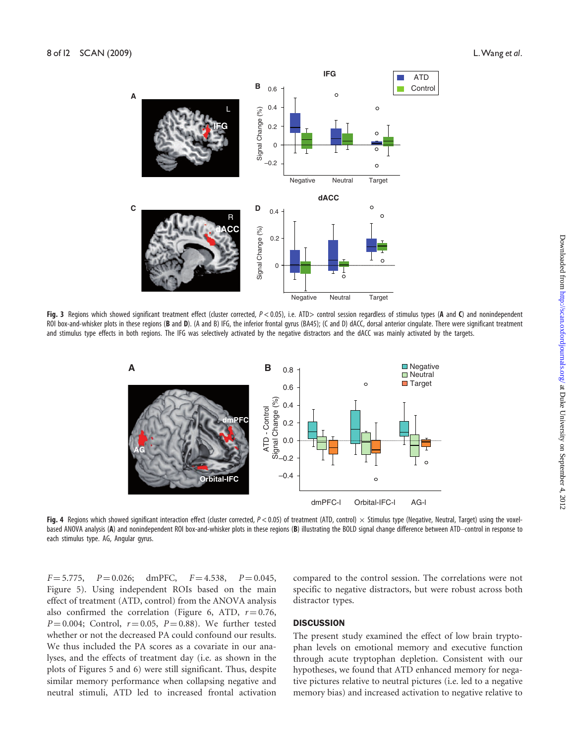

Fig. 3 Regions which showed significant treatment effect (cluster corrected,  $P < 0.05$ ), i.e. ATD> control session regardless of stimulus types (A and C) and nonindependent ROI box-and-whisker plots in these regions (B and D). (A and B) IFG, the inferior frontal gyrus (BA45); (C and D) dACC, dorsal anterior cingulate. There were significant treatment and stimulus type effects in both regions. The IFG was selectively activated by the negative distractors and the dACC was mainly activated by the targets.



Fig. 4 Regions which showed significant interaction effect (cluster corrected,  $P < 0.05$ ) of treatment (ATD, control)  $\times$  Stimulus type (Negative, Neutral, Target) using the voxelbased ANOVA analysis (A) and nonindependent ROI box-and-whisker plots in these regions (B) illustrating the BOLD signal change difference between ATD–control in response to each stimulus type. AG, Angular gyrus.

 $F = 5.775$ ,  $P = 0.026$ ; dmPFC,  $F = 4.538$ ,  $P = 0.045$ , Figure 5). Using independent ROIs based on the main effect of treatment (ATD, control) from the ANOVA analysis also confirmed the correlation (Figure 6, ATD,  $r = 0.76$ ,  $P = 0.004$ ; Control,  $r = 0.05$ ,  $P = 0.88$ ). We further tested whether or not the decreased PA could confound our results. We thus included the PA scores as a covariate in our analyses, and the effects of treatment day (i.e. as shown in the plots of Figures 5 and 6) were still significant. Thus, despite similar memory performance when collapsing negative and neutral stimuli, ATD led to increased frontal activation

compared to the control session. The correlations were not specific to negative distractors, but were robust across both distractor types.

#### **DISCUSSION**

The present study examined the effect of low brain tryptophan levels on emotional memory and executive function through acute tryptophan depletion. Consistent with our hypotheses, we found that ATD enhanced memory for negative pictures relative to neutral pictures (i.e. led to a negative memory bias) and increased activation to negative relative to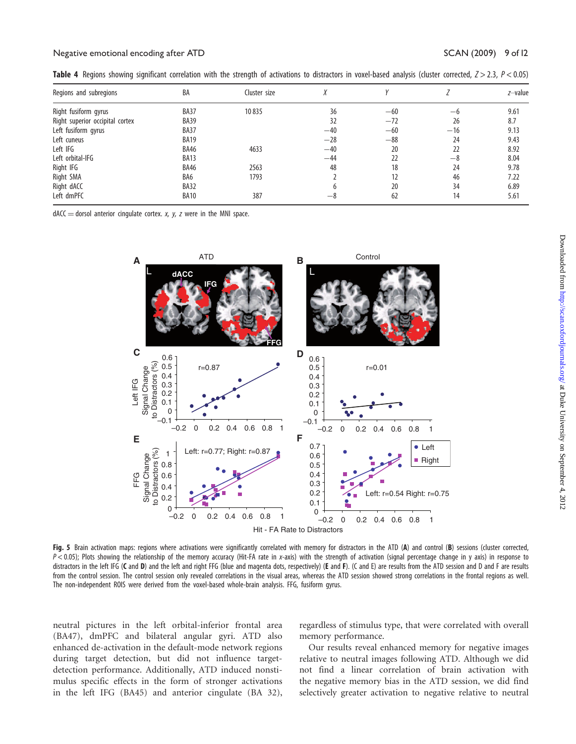| Regions and subregions          | BA          | Cluster size |       |       |       | z-value |
|---------------------------------|-------------|--------------|-------|-------|-------|---------|
| Right fusiform gyrus            | BA37        | 10835        | 36    | $-60$ | $-6$  | 9.61    |
| Right superior occipital cortex | <b>BA39</b> |              | 32    | $-72$ | 26    | 8.7     |
| Left fusiform gyrus             | BA37        |              | $-40$ | $-60$ | $-16$ | 9.13    |
| Left cuneus                     | <b>BA19</b> |              | $-28$ | $-88$ | 24    | 9.43    |
| Left IFG                        | <b>BA46</b> | 4633         | $-40$ | 20    | 22    | 8.92    |
| Left orbital-IFG                | <b>BA13</b> |              | $-44$ | 22    | $-8$  | 8.04    |
| Right IFG                       | <b>BA46</b> | 2563         | 48    | 18    | 24    | 9.78    |
| Right SMA                       | BA6         | 1793         |       | 12    | 46    | 7.22    |
| Right dACC                      | <b>BA32</b> |              |       | 20    | 34    | 6.89    |
| Left dmPFC                      | <b>BA10</b> | 387          | -8    | 62    | 14    | 5.61    |

**Table 4** Regions showing significant correlation with the strength of activations to distractors in voxel-based analysis (cluster corrected,  $Z > 2.3$ ,  $P < 0.05$ )

 $dACC =$  dorsol anterior cingulate cortex. x, y, z were in the MNI space.



Fig. 5 Brain activation maps: regions where activations were significantly correlated with memory for distractors in the ATD (A) and control (B) sessions (cluster corrected,  $P$  < 0.05); Plots showing the relationship of the memory accuracy (Hit-FA rate in x-axis) with the strength of activation (signal percentage change in y axis) in response to distractors in the left IFG (C and D) and the left and right FFG (blue and magenta dots, respectively) (E and F). (C and E) are results from the ATD session and D and F are results from the control session. The control session only revealed correlations in the visual areas, whereas the ATD session showed strong correlations in the frontal regions as well. The non-independent ROIS were derived from the voxel-based whole-brain analysis. FFG, fusiform gyrus.

neutral pictures in the left orbital-inferior frontal area (BA47), dmPFC and bilateral angular gyri. ATD also enhanced de-activation in the default-mode network regions during target detection, but did not influence targetdetection performance. Additionally, ATD induced nonstimulus specific effects in the form of stronger activations in the left IFG (BA45) and anterior cingulate (BA 32), regardless of stimulus type, that were correlated with overall memory performance.

Our results reveal enhanced memory for negative images relative to neutral images following ATD. Although we did not find a linear correlation of brain activation with the negative memory bias in the ATD session, we did find selectively greater activation to negative relative to neutral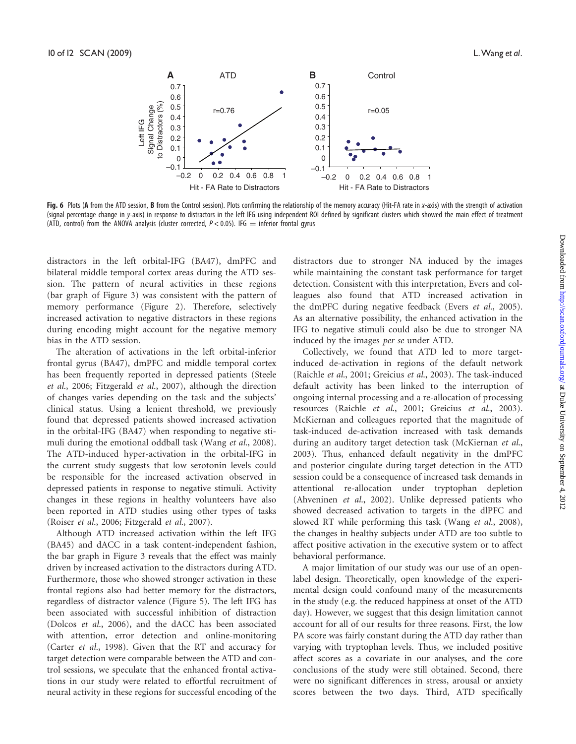

Fig. 6 Plots (A from the ATD session, B from the Control session). Plots confirming the relationship of the memory accuracy (Hit-FA rate in x-axis) with the strength of activation (signal percentage change in y-axis) in response to distractors in the left IFG using independent ROI defined by significant clusters which showed the main effect of treatment (ATD, control) from the ANOVA analysis (cluster corrected,  $P < 0.05$ ). IFG  $=$  inferior frontal gyrus

distractors in the left orbital-IFG (BA47), dmPFC and bilateral middle temporal cortex areas during the ATD session. The pattern of neural activities in these regions (bar graph of Figure 3) was consistent with the pattern of memory performance (Figure 2). Therefore, selectively increased activation to negative distractors in these regions during encoding might account for the negative memory bias in the ATD session.

The alteration of activations in the left orbital-inferior frontal gyrus (BA47), dmPFC and middle temporal cortex has been frequently reported in depressed patients (Steele et al., 2006; Fitzgerald et al., 2007), although the direction of changes varies depending on the task and the subjects' clinical status. Using a lenient threshold, we previously found that depressed patients showed increased activation in the orbital-IFG (BA47) when responding to negative stimuli during the emotional oddball task (Wang et al., 2008). The ATD-induced hyper-activation in the orbital-IFG in the current study suggests that low serotonin levels could be responsible for the increased activation observed in depressed patients in response to negative stimuli. Activity changes in these regions in healthy volunteers have also been reported in ATD studies using other types of tasks (Roiser et al., 2006; Fitzgerald et al., 2007).

Although ATD increased activation within the left IFG (BA45) and dACC in a task content-independent fashion, the bar graph in Figure 3 reveals that the effect was mainly driven by increased activation to the distractors during ATD. Furthermore, those who showed stronger activation in these frontal regions also had better memory for the distractors, regardless of distractor valence (Figure 5). The left IFG has been associated with successful inhibition of distraction (Dolcos et al., 2006), and the dACC has been associated with attention, error detection and online-monitoring (Carter et al., 1998). Given that the RT and accuracy for target detection were comparable between the ATD and control sessions, we speculate that the enhanced frontal activations in our study were related to effortful recruitment of neural activity in these regions for successful encoding of the

distractors due to stronger NA induced by the images while maintaining the constant task performance for target detection. Consistent with this interpretation, Evers and colleagues also found that ATD increased activation in the dmPFC during negative feedback (Evers et al., 2005). As an alternative possibility, the enhanced activation in the IFG to negative stimuli could also be due to stronger NA induced by the images per se under ATD.

Collectively, we found that ATD led to more targetinduced de-activation in regions of the default network (Raichle et al., 2001; Greicius et al., 2003). The task-induced default activity has been linked to the interruption of ongoing internal processing and a re-allocation of processing resources (Raichle et al., 2001; Greicius et al., 2003). McKiernan and colleagues reported that the magnitude of task-induced de-activation increased with task demands during an auditory target detection task (McKiernan et al., 2003). Thus, enhanced default negativity in the dmPFC and posterior cingulate during target detection in the ATD session could be a consequence of increased task demands in attentional re-allocation under tryptophan depletion (Ahveninen et al., 2002). Unlike depressed patients who showed decreased activation to targets in the dlPFC and slowed RT while performing this task (Wang et al., 2008), the changes in healthy subjects under ATD are too subtle to affect positive activation in the executive system or to affect behavioral performance.

A major limitation of our study was our use of an openlabel design. Theoretically, open knowledge of the experimental design could confound many of the measurements in the study (e.g. the reduced happiness at onset of the ATD day). However, we suggest that this design limitation cannot account for all of our results for three reasons. First, the low PA score was fairly constant during the ATD day rather than varying with tryptophan levels. Thus, we included positive affect scores as a covariate in our analyses, and the core conclusions of the study were still obtained. Second, there were no significant differences in stress, arousal or anxiety scores between the two days. Third, ATD specifically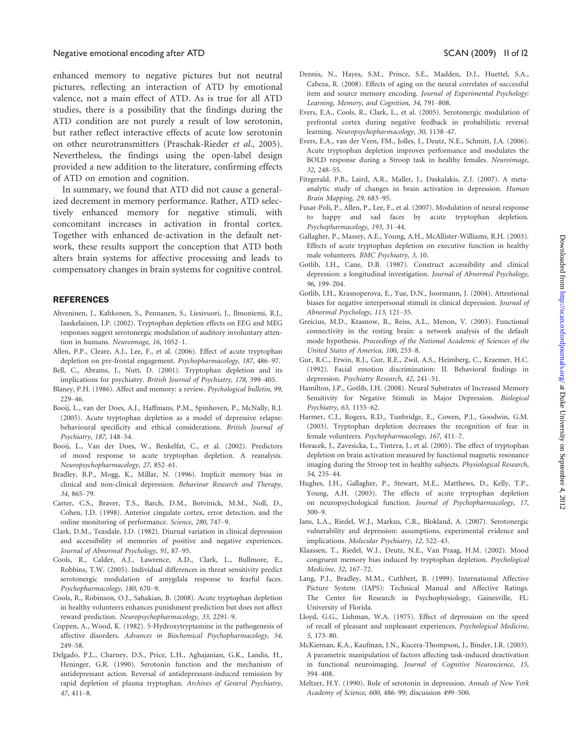enhanced memory to negative pictures but not neutral pictures, reflecting an interaction of ATD by emotional valence, not a main effect of ATD. As is true for all ATD studies, there is a possibility that the findings during the ATD condition are not purely a result of low serotonin, but rather reflect interactive effects of acute low serotonin on other neurotransmitters (Praschak-Rieder et al., 2005). Nevertheless, the findings using the open-label design provided a new addition to the literature, confirming effects of ATD on emotion and cognition.

In summary, we found that ATD did not cause a generalized decrement in memory performance. Rather, ATD selectively enhanced memory for negative stimuli, with concomitant increases in activation in frontal cortex. Together with enhanced de-activation in the default network, these results support the conception that ATD both alters brain systems for affective processing and leads to compensatory changes in brain systems for cognitive control.

#### **REFERENCES**

- Ahveninen, J., Kahkonen, S., Pennanen, S., Liesivuori, J., Ilmoniemi, R.J., Jaaskelainen, I.P. (2002). Tryptophan depletion effects on EEG and MEG responses suggest serotonergic modulation of auditory involuntary attention in humans. Neuroimage, 16, 1052–1.
- Allen, P.P., Cleare, A.J., Lee, F., et al. (2006). Effect of acute tryptophan depletion on pre-frontal engagement. Psychopharmacology, 187, 486–97.
- Bell, C., Abrams, J., Nutt, D. (2001). Tryptophan depletion and its implications for psychiatry. British Journal of Psychiatry, 178, 399–405.
- Blaney, P.H. (1986). Affect and memory: a review. Psychological bulletin, 99, 229–46.
- Booij, L., van der Does, A.J., Haffmans, P.M., Spinhoven, P., McNally, R.J. (2005). Acute tryptophan depletion as a model of depressive relapse: behavioural specificity and ethical considerations. British Journal of Psychiatry, 187, 148–54.
- Booij, L., Van der Does, W., Benkelfat, C., et al. (2002). Predictors of mood response to acute tryptophan depletion. A reanalysis. Neuropsychopharmacology, 27, 852–61.
- Bradley, B.P., Mogg, K., Millar, N. (1996). Implicit memory bias in clinical and non-clinical depression. Behaviour Research and Therapy, 34, 865–79.
- Carter, C.S., Braver, T.S., Barch, D.M., Botvinick, M.M., Noll, D., Cohen, J.D. (1998). Anterior cingulate cortex, error detection, and the online monitoring of performance. Science, 280, 747–9.
- Clark, D.M., Teasdale, J.D. (1982). Diurnal variation in clinical depression and accessibility of memories of positive and negative experiences. Journal of Abnormal Psychology, 91, 87–95.
- Cools, R., Calder, A.J., Lawrence, A.D., Clark, L., Bullmore, E., Robbins, T.W. (2005). Individual differences in threat sensitivity predict serotonergic modulation of amygdala response to fearful faces. Psychopharmacology, 180, 670–9.
- Cools, R., Robinson, O.J., Sahakian, B. (2008). Acute tryptophan depletion in healthy volunteers enhances punishment prediction but does not affect reward prediction. Neuropsychopharmacology, 33, 2291–9.
- Coppen, A., Wood, K. (1982). 5-Hydroxytryptamine in the pathogenesis of affective disorders. Advances in Biochemical Psychopharmacology, 34, 249–58.
- Delgado, P.L., Charney, D.S., Price, L.H., Aghajanian, G.K., Landis, H., Heninger, G.R. (1990). Serotonin function and the mechanism of antidepressant action. Reversal of antidepressant-induced remission by rapid depletion of plasma tryptophan. Archives of General Psychiatry, 47, 411–8.
- Dennis, N., Hayes, S.M., Prince, S.E., Madden, D.J., Huettel, S.A., Cabeza, R. (2008). Effects of aging on the neural correlates of successful item and source memory encoding. Journal of Experimental Psychology: Learning, Memory, and Cognition, 34, 791–808.
- Evers, E.A., Cools, R., Clark, L., et al. (2005). Serotonergic modulation of prefrontal cortex during negative feedback in probabilistic reversal learning. Neuropsychopharmacology, 30, 1138–47.
- Evers, E.A., van der Veen, FM., Jolles, J., Deutz, N.E., Schmitt, J.A. (2006). Acute tryptophan depletion improves performance and modulates the BOLD response during a Stroop task in healthy females. Neuroimage, 32, 248–55.
- Fitzgerald, P.B., Laird, A.R., Maller, J., Daskalakis, Z.J. (2007). A metaanalytic study of changes in brain activation in depression. Human Brain Mapping, 29, 683–95.
- Fusar-Poli, P., Allen, P., Lee, F., et al. (2007). Modulation of neural response to happy and sad faces by acute tryptophan depletion. Psychopharmacology, 193, 31–44.
- Gallagher, P., Massey, A.E., Young, A.H., McAllister-Williams, R.H. (2003). Effects of acute tryptophan depletion on executive function in healthy male volunteers. BMC Psychiatry, 3, 10.
- Gotlib, I.H., Cane, D.B. (1987). Construct accessibility and clinical depression: a longitudinal investigation. Journal of Abnormal Psychology, 96, 199–204.
- Gotlib, I.H., Krasnoperova, E., Yue, D.N., Joormann, J. (2004). Attentional biases for negative interpersonal stimuli in clinical depression. Journal of Abnormal Psychology, 113, 121–35.
- Greicius, M.D., Krasnow, B., Reiss, A.L., Menon, V. (2003). Functional connectivity in the resting brain: a network analysis of the default mode hypothesis. Proceedings of the National Academic of Sciences of the United States of America, 100, 253–8.
- Gur, R.C., Erwin, R.J., Gur, R.E., Zwil, A.S., Heimberg, C., Kraemer, H.C. (1992). Facial emotion discrimination: II. Behavioral findings in depression. Psychiatry Research, 42, 241–51.
- Hamilton, J.P., Gotlib, I.H. (2008). Neural Substrates of Increased Memory Sensitivity for Negative Stimuli in Major Depression. Biological Psychiatry, 63, 1155–62.
- Harmer, C.J., Rogers, R.D., Tunbridge, E., Cowen, P.J., Goodwin, G.M. (2003). Tryptophan depletion decreases the recognition of fear in female volunteers. Psychopharmacology, 167, 411-7.
- Horacek, J., Zavesicka, L., Tintera, J., et al. (2005). The effect of tryptophan depletion on brain activation measured by functional magnetic resonance imaging during the Stroop test in healthy subjects. Physiological Research, 54, 235–44.
- Hughes, J.H., Gallagher, P., Stewart, M.E., Matthews, D., Kelly, T.P., Young, A.H. (2003). The effects of acute tryptophan depletion on neuropsychological function. Journal of Psychopharmacology, 17, 300–9.
- Jans, L.A., Riedel, W.J., Markus, C.R., Blokland, A. (2007). Serotonergic vulnerability and depression: assumptions, experimental evidence and implications. Molecular Psychiatry, 12, 522–43.
- Klaassen, T., Riedel, W.J., Deutz, N.E., Van Praag, H.M. (2002). Mood congruent memory bias induced by tryptophan depletion. Psychological Medicine, 32, 167–72.
- Lang, P.J., Bradley, M.M., Cuthbert, B. (1999). International Affective Picture System (IAPS): Technical Manual and Affective Ratings. The Center for Research in Psychophysiology, Gainesville, FL: University of Florida.
- Lloyd, G.G., Lishman, W.A. (1975). Effect of depression on the speed of recall of pleasant and unpleasant experiences. Psychological Medicine, 5, 173–80.
- McKiernan, K.A., Kaufman, J.N., Kucera-Thompson, J., Binder, J.R. (2003). A parametric manipulation of factors affecting task-induced deactivation in functional neuroimaging. Journal of Cognitive Neuroscience, 15, 394–408.
- Meltzer, H.Y. (1990). Role of serotonin in depression. Annals of New York Academy of Science, 600, 486–99; discussion 499–500.